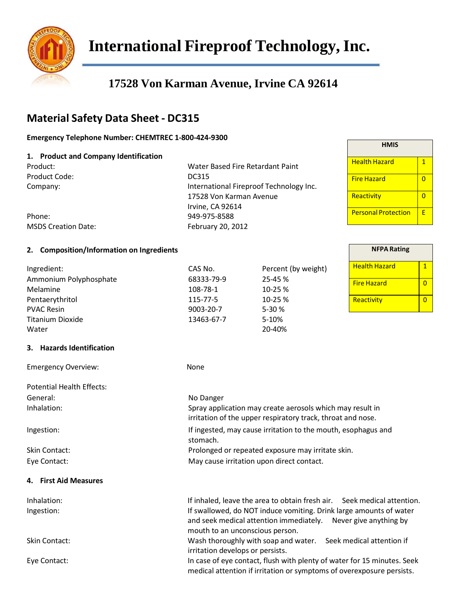

**International Fireproof Technology,Inc.**

# **17528 Von Karman Avenue, Irvine CA 92614**

## **Material Safety Data Sheet - DC315**

#### **Emergency Telephone Number: CHEMTREC 1-800-424-9300**

#### **1. Product and Company Identification**

Product Code: DC315

Product: Water Based Fire Retardant Paint Company: International Fireproof Technology Inc. 17528 Von Karman Avenue Irvine, CA 92614 Phone: 949-975-8588 February 20, 2012

| Phone:                     |
|----------------------------|
| <b>MSDS Creation Date:</b> |

#### **2. Composition/Information on Ingredients**

| Ingredient:<br>Ammonium Polyphosphate<br>Melamine<br>Pentaerythritol<br><b>PVAC Resin</b><br><b>Titanium Dioxide</b><br>Water | CAS No.<br>68333-79-9<br>108-78-1<br>115-77-5<br>9003-20-7<br>13463-67-7  | Percent (by weight)<br>25-45%<br>10-25%<br>10-25%<br>5-30 %<br>5-10%<br>20-40%                                                                   | <b>Health Hazard</b><br><b>Fire Hazard</b><br>Reactivity |
|-------------------------------------------------------------------------------------------------------------------------------|---------------------------------------------------------------------------|--------------------------------------------------------------------------------------------------------------------------------------------------|----------------------------------------------------------|
| 3. Hazards Identification                                                                                                     |                                                                           |                                                                                                                                                  |                                                          |
| <b>Emergency Overview:</b>                                                                                                    | None                                                                      |                                                                                                                                                  |                                                          |
| <b>Potential Health Effects:</b>                                                                                              |                                                                           |                                                                                                                                                  |                                                          |
| General:                                                                                                                      | No Danger                                                                 |                                                                                                                                                  |                                                          |
| Inhalation:                                                                                                                   |                                                                           | Spray application may create aerosols which may result in<br>irritation of the upper respiratory track, throat and nose.                         |                                                          |
| Ingestion:                                                                                                                    | If ingested, may cause irritation to the mouth, esophagus and<br>stomach. |                                                                                                                                                  |                                                          |
| Skin Contact:                                                                                                                 | Prolonged or repeated exposure may irritate skin.                         |                                                                                                                                                  |                                                          |
| Eye Contact:                                                                                                                  |                                                                           | May cause irritation upon direct contact.                                                                                                        |                                                          |
| 4. First Aid Measures                                                                                                         |                                                                           |                                                                                                                                                  |                                                          |
| Inhalation:                                                                                                                   |                                                                           | If inhaled, leave the area to obtain fresh air. Seek medical attention.                                                                          |                                                          |
| Ingestion:                                                                                                                    | mouth to an unconscious person.                                           | If swallowed, do NOT induce vomiting. Drink large amounts of water<br>and seek medical attention immediately.                                    | Never give anything by                                   |
| Skin Contact:                                                                                                                 | irritation develops or persists.                                          | Wash thoroughly with soap and water. Seek medical attention if                                                                                   |                                                          |
| Eye Contact:                                                                                                                  |                                                                           | In case of eye contact, flush with plenty of water for 15 minutes. Seek<br>medical attention if irritation or symptoms of overexposure persists. |                                                          |

| HMIS                       |   |
|----------------------------|---|
| Health Hazard              | 1 |
| <b>Fire Hazard</b>         | O |
| Reactivity                 | 0 |
| <b>Personal Protection</b> | F |

| <b>NFPA Rating</b>   |  |
|----------------------|--|
| <b>Health Hazard</b> |  |
| <b>Fire Hazard</b>   |  |
| Reactivity           |  |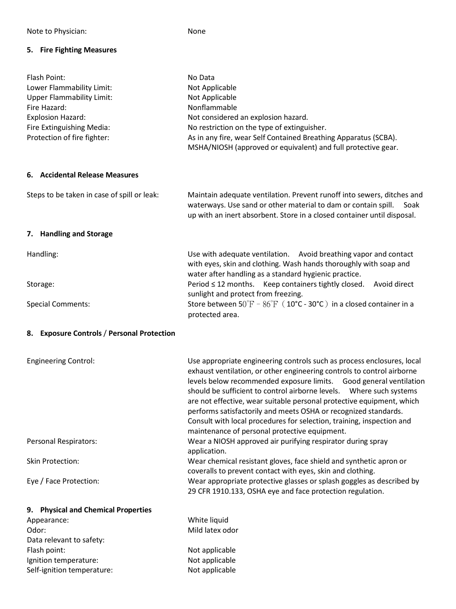### **5. Fire Fighting Measures**

| Flash Point:<br>Lower Flammability Limit:<br><b>Upper Flammability Limit:</b><br>Fire Hazard:<br><b>Explosion Hazard:</b><br>Fire Extinguishing Media:<br>Protection of fire fighter: | No Data<br>Not Applicable<br>Not Applicable<br>Nonflammable<br>Not considered an explosion hazard.<br>No restriction on the type of extinguisher.<br>As in any fire, wear Self Contained Breathing Apparatus (SCBA).<br>MSHA/NIOSH (approved or equivalent) and full protective gear.                                                                                                                                                                                                                                                                                |
|---------------------------------------------------------------------------------------------------------------------------------------------------------------------------------------|----------------------------------------------------------------------------------------------------------------------------------------------------------------------------------------------------------------------------------------------------------------------------------------------------------------------------------------------------------------------------------------------------------------------------------------------------------------------------------------------------------------------------------------------------------------------|
| 6. Accidental Release Measures                                                                                                                                                        |                                                                                                                                                                                                                                                                                                                                                                                                                                                                                                                                                                      |
| Steps to be taken in case of spill or leak:                                                                                                                                           | Maintain adequate ventilation. Prevent runoff into sewers, ditches and<br>waterways. Use sand or other material to dam or contain spill.<br>Soak<br>up with an inert absorbent. Store in a closed container until disposal.                                                                                                                                                                                                                                                                                                                                          |
| 7. Handling and Storage                                                                                                                                                               |                                                                                                                                                                                                                                                                                                                                                                                                                                                                                                                                                                      |
| Handling:                                                                                                                                                                             | Use with adequate ventilation. Avoid breathing vapor and contact<br>with eyes, skin and clothing. Wash hands thoroughly with soap and<br>water after handling as a standard hygienic practice.                                                                                                                                                                                                                                                                                                                                                                       |
| Storage:                                                                                                                                                                              | Period ≤ 12 months. Keep containers tightly closed. Avoid direct<br>sunlight and protect from freezing.                                                                                                                                                                                                                                                                                                                                                                                                                                                              |
| <b>Special Comments:</b>                                                                                                                                                              | Store between $50^{\circ}F - 86^{\circ}F (10^{\circ}C - 30^{\circ}C)$ in a closed container in a<br>protected area.                                                                                                                                                                                                                                                                                                                                                                                                                                                  |
| <b>Exposure Controls / Personal Protection</b><br>8.                                                                                                                                  |                                                                                                                                                                                                                                                                                                                                                                                                                                                                                                                                                                      |
| <b>Engineering Control:</b>                                                                                                                                                           | Use appropriate engineering controls such as process enclosures, local<br>exhaust ventilation, or other engineering controls to control airborne<br>levels below recommended exposure limits. Good general ventilation<br>should be sufficient to control airborne levels.  Where such systems<br>are not effective, wear suitable personal protective equipment, which<br>performs satisfactorily and meets OSHA or recognized standards.<br>Consult with local procedures for selection, training, inspection and<br>maintenance of personal protective equipment. |
| <b>Personal Respirators:</b>                                                                                                                                                          | Wear a NIOSH approved air purifying respirator during spray<br>application.                                                                                                                                                                                                                                                                                                                                                                                                                                                                                          |
| <b>Skin Protection:</b>                                                                                                                                                               | Wear chemical resistant gloves, face shield and synthetic apron or<br>coveralls to prevent contact with eyes, skin and clothing.                                                                                                                                                                                                                                                                                                                                                                                                                                     |
| Eye / Face Protection:                                                                                                                                                                | Wear appropriate protective glasses or splash goggles as described by<br>29 CFR 1910.133, OSHA eye and face protection regulation.                                                                                                                                                                                                                                                                                                                                                                                                                                   |
| 9. Physical and Chemical Properties                                                                                                                                                   |                                                                                                                                                                                                                                                                                                                                                                                                                                                                                                                                                                      |
| Appearance:                                                                                                                                                                           | White liquid                                                                                                                                                                                                                                                                                                                                                                                                                                                                                                                                                         |
| Odor:                                                                                                                                                                                 | Mild latex odor                                                                                                                                                                                                                                                                                                                                                                                                                                                                                                                                                      |
| Data relevant to safety:                                                                                                                                                              |                                                                                                                                                                                                                                                                                                                                                                                                                                                                                                                                                                      |
| Flash point:                                                                                                                                                                          | Not applicable                                                                                                                                                                                                                                                                                                                                                                                                                                                                                                                                                       |
| Ignition temperature:<br>Self-ignition temperature:                                                                                                                                   | Not applicable<br>Not applicable                                                                                                                                                                                                                                                                                                                                                                                                                                                                                                                                     |
|                                                                                                                                                                                       |                                                                                                                                                                                                                                                                                                                                                                                                                                                                                                                                                                      |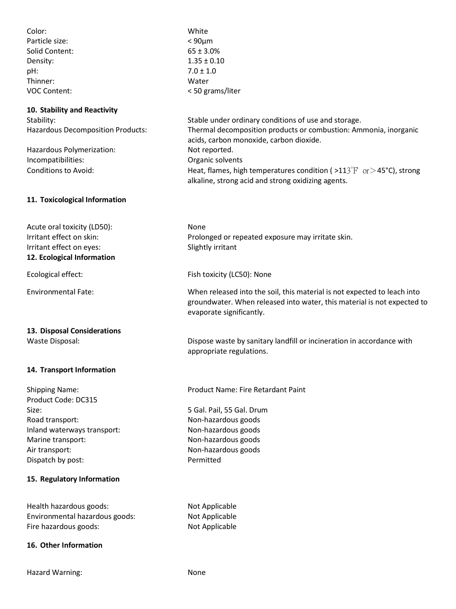| Color:<br>Particle size:<br>Solid Content:<br>Density:<br>pH:<br>Thinner:<br><b>VOC Content:</b>                                                                                                  | White<br>$< 90 \mu m$<br>$65 \pm 3.0\%$<br>$1.35 \pm 0.10$<br>$7.0 \pm 1.0$<br>Water<br>< 50 grams/liter                                                                                                                                                                                                                                                   |
|---------------------------------------------------------------------------------------------------------------------------------------------------------------------------------------------------|------------------------------------------------------------------------------------------------------------------------------------------------------------------------------------------------------------------------------------------------------------------------------------------------------------------------------------------------------------|
| 10. Stability and Reactivity<br>Stability:<br>Hazardous Decomposition Products:<br>Hazardous Polymerization:<br>Incompatibilities:<br><b>Conditions to Avoid:</b>                                 | Stable under ordinary conditions of use and storage.<br>Thermal decomposition products or combustion: Ammonia, inorganic<br>acids, carbon monoxide, carbon dioxide.<br>Not reported.<br>Organic solvents<br>Heat, flames, high temperatures condition ( $>113^{\circ}$ F or $>45^{\circ}$ C), strong<br>alkaline, strong acid and strong oxidizing agents. |
| 11. Toxicological Information                                                                                                                                                                     |                                                                                                                                                                                                                                                                                                                                                            |
| Acute oral toxicity (LD50):<br>Irritant effect on skin:<br>Irritant effect on eyes:<br>12. Ecological Information                                                                                 | None<br>Prolonged or repeated exposure may irritate skin.<br>Slightly irritant                                                                                                                                                                                                                                                                             |
| Ecological effect:                                                                                                                                                                                | Fish toxicity (LC50): None                                                                                                                                                                                                                                                                                                                                 |
| <b>Environmental Fate:</b>                                                                                                                                                                        | When released into the soil, this material is not expected to leach into<br>groundwater. When released into water, this material is not expected to<br>evaporate significantly.                                                                                                                                                                            |
| 13. Disposal Considerations<br>Waste Disposal:                                                                                                                                                    | Dispose waste by sanitary landfill or incineration in accordance with<br>appropriate regulations.                                                                                                                                                                                                                                                          |
| 14. Transport Information                                                                                                                                                                         |                                                                                                                                                                                                                                                                                                                                                            |
| <b>Shipping Name:</b><br>Product Code: DC315<br>Size:<br>Road transport:<br>Inland waterways transport:<br>Marine transport:<br>Air transport:<br>Dispatch by post:<br>15. Regulatory Information | Product Name: Fire Retardant Paint<br>5 Gal. Pail, 55 Gal. Drum<br>Non-hazardous goods<br>Non-hazardous goods<br>Non-hazardous goods<br>Non-hazardous goods<br>Permitted                                                                                                                                                                                   |
| Health hazardous goods:<br>Environmental hazardous goods:<br>Fire hazardous goods:                                                                                                                | Not Applicable<br>Not Applicable<br>Not Applicable                                                                                                                                                                                                                                                                                                         |
| 16. Other Information                                                                                                                                                                             |                                                                                                                                                                                                                                                                                                                                                            |

Hazard Warning: None